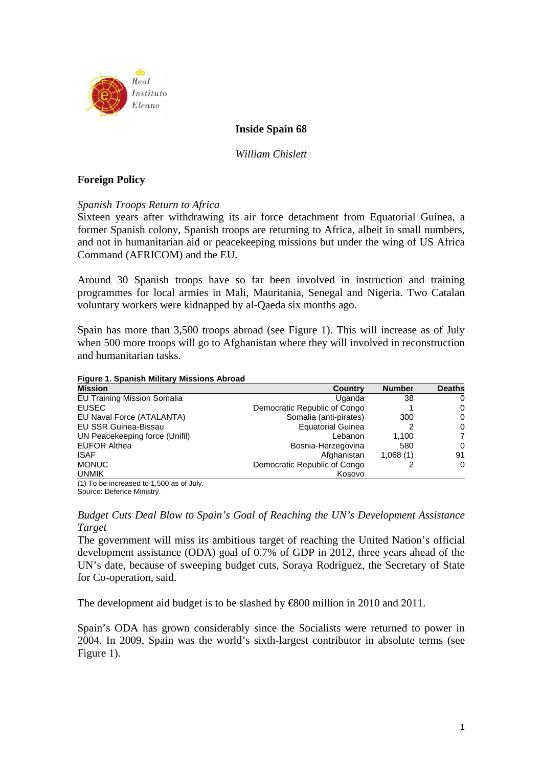

### **Inside Spain 68**

*William Chislett* 

### **Foreign Policy**

*Spanish Troops Return to Africa* 

Sixteen years after withdrawing its air force detachment from Equatorial Guinea, a former Spanish colony, Spanish troops are returning to Africa, albeit in small numbers, and not in humanitarian aid or peacekeeping missions but under the wing of US Africa Command (AFRICOM) and the EU.

Around 30 Spanish troops have so far been involved in instruction and training programmes for local armies in Mali, Mauritania, Senegal and Nigeria. Two Catalan voluntary workers were kidnapped by al-Qaeda six months ago.

Spain has more than 3,500 troops abroad (see Figure 1). This will increase as of July when 500 more troops will go to Afghanistan where they will involved in reconstruction and humanitarian tasks.

**Figure 1. Spanish Military Missions Abroad**

| <b>Mission</b>                     | Country                      | <b>Number</b> | <b>Deaths</b> |
|------------------------------------|------------------------------|---------------|---------------|
| <b>EU Training Mission Somalia</b> | Uganda                       | 38            | 0             |
| <b>EUSEC</b>                       | Democratic Republic of Congo |               | 0             |
| EU Naval Force (ATALANTA)          | Somalia (anti-pirates)       | 300           | 0             |
| EU SSR Guinea-Bissau               | <b>Equatorial Guinea</b>     |               | 0             |
| UN Peacekeeping force (Unifil)     | Lebanon                      | 1.100         | 7             |
| <b>EUFOR Althea</b>                | Bosnia-Herzegovina           | 580           | $\Omega$      |
| <b>ISAF</b>                        | Afghanistan                  | 1,068(1)      | 91            |
| <b>MONUC</b>                       | Democratic Republic of Congo |               | $\Omega$      |
| <b>UNMIK</b>                       | Kosovo                       |               |               |

(1) To be increased to 1,500 as of July. Source: Defence Ministry.

*Budget Cuts Deal Blow to Spain's Goal of Reaching the UN's Development Assistance Target* 

The government will miss its ambitious target of reaching the United Nation's official development assistance (ODA) goal of 0.7% of GDP in 2012, three years ahead of the UN's date, because of sweeping budget cuts, Soraya Rodríguez, the Secretary of State for Co-operation, said.

The development aid budget is to be slashed by €800 million in 2010 and 2011.

Spain's ODA has grown considerably since the Socialists were returned to power in 2004. In 2009, Spain was the world's sixth-largest contributor in absolute terms (see Figure 1).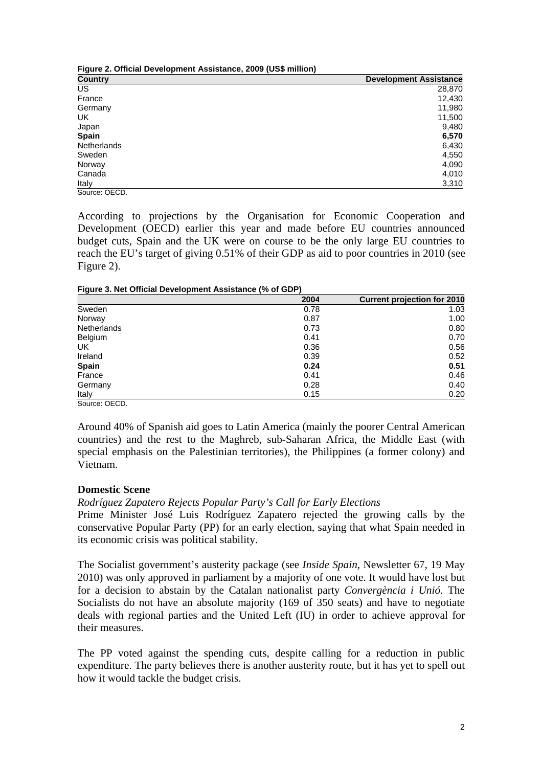| Figure 2. Official Development Assistance, 2009 (US\$ million) |                               |  |
|----------------------------------------------------------------|-------------------------------|--|
| <b>Country</b>                                                 | <b>Development Assistance</b> |  |
| <b>US</b>                                                      | 28,870                        |  |
| France                                                         | 12,430                        |  |
| Germany                                                        | 11,980                        |  |
| UK                                                             | 11,500                        |  |
| Japan                                                          | 9,480                         |  |
| <b>Spain</b>                                                   | 6,570                         |  |
| <b>Netherlands</b>                                             | 6,430                         |  |
| Sweden                                                         | 4,550                         |  |
| Norway                                                         | 4,090                         |  |
| Canada                                                         | 4,010                         |  |
| Italy                                                          | 3,310                         |  |
| Source: OECD.                                                  |                               |  |

According to projections by the Organisation for Economic Cooperation and Development (OECD) earlier this year and made before EU countries announced budget cuts, Spain and the UK were on course to be the only large EU countries to reach the EU's target of giving 0.51% of their GDP as aid to poor countries in 2010 (see Figure 2).

**Figure 3. Net Official Development Assistance (% of GDP)** 

|                    | 2004 | <b>Current projection for 2010</b> |
|--------------------|------|------------------------------------|
| Sweden             | 0.78 | 1.03                               |
| Norway             | 0.87 | 1.00                               |
| <b>Netherlands</b> | 0.73 | 0.80                               |
| Belgium            | 0.41 | 0.70                               |
| UK                 | 0.36 | 0.56                               |
| Ireland            | 0.39 | 0.52                               |
| <b>Spain</b>       | 0.24 | 0.51                               |
| France             | 0.41 | 0.46                               |
| Germany            | 0.28 | 0.40                               |
| Italy              | 0.15 | 0.20                               |
| Source: OECD.      |      |                                    |

Around 40% of Spanish aid goes to Latin America (mainly the poorer Central American countries) and the rest to the Maghreb, sub-Saharan Africa, the Middle East (with special emphasis on the Palestinian territories), the Philippines (a former colony) and Vietnam.

## **Domestic Scene**

*Rodríguez Zapatero Rejects Popular Party's Call for Early Elections* 

Prime Minister José Luis Rodríguez Zapatero rejected the growing calls by the conservative Popular Party (PP) for an early election, saying that what Spain needed in its economic crisis was political stability.

The Socialist government's austerity package (see *Inside Spain*, Newsletter 67, 19 May 2010) was only approved in parliament by a majority of one vote. It would have lost but for a decision to abstain by the Catalan nationalist party *Convergència i Unió*. The Socialists do not have an absolute majority (169 of 350 seats) and have to negotiate deals with regional parties and the United Left (IU) in order to achieve approval for their measures.

The PP voted against the spending cuts, despite calling for a reduction in public expenditure. The party believes there is another austerity route, but it has yet to spell out how it would tackle the budget crisis.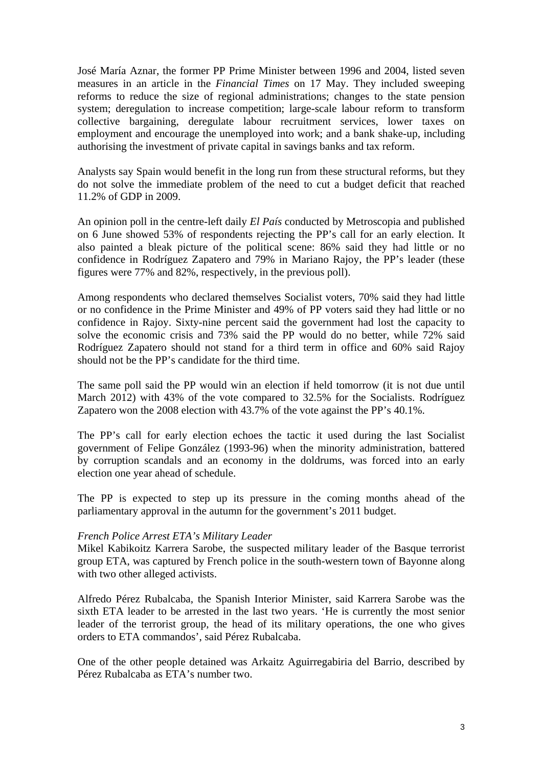José María Aznar, the former PP Prime Minister between 1996 and 2004, listed seven measures in an article in the *Financial Times* on 17 May. They included sweeping reforms to reduce the size of regional administrations; changes to the state pension system; deregulation to increase competition; large-scale labour reform to transform collective bargaining, deregulate labour recruitment services, lower taxes on employment and encourage the unemployed into work; and a bank shake-up, including authorising the investment of private capital in savings banks and tax reform.

Analysts say Spain would benefit in the long run from these structural reforms, but they do not solve the immediate problem of the need to cut a budget deficit that reached 11.2% of GDP in 2009.

An opinion poll in the centre-left daily *El País* conducted by Metroscopia and published on 6 June showed 53% of respondents rejecting the PP's call for an early election. It also painted a bleak picture of the political scene: 86% said they had little or no confidence in Rodríguez Zapatero and 79% in Mariano Rajoy, the PP's leader (these figures were 77% and 82%, respectively, in the previous poll).

Among respondents who declared themselves Socialist voters, 70% said they had little or no confidence in the Prime Minister and 49% of PP voters said they had little or no confidence in Rajoy. Sixty-nine percent said the government had lost the capacity to solve the economic crisis and 73% said the PP would do no better, while 72% said Rodríguez Zapatero should not stand for a third term in office and 60% said Rajoy should not be the PP's candidate for the third time.

The same poll said the PP would win an election if held tomorrow (it is not due until March 2012) with 43% of the vote compared to 32.5% for the Socialists. Rodríguez Zapatero won the 2008 election with 43.7% of the vote against the PP's 40.1%.

The PP's call for early election echoes the tactic it used during the last Socialist government of Felipe González (1993-96) when the minority administration, battered by corruption scandals and an economy in the doldrums, was forced into an early election one year ahead of schedule.

The PP is expected to step up its pressure in the coming months ahead of the parliamentary approval in the autumn for the government's 2011 budget.

### *French Police Arrest ETA's Military Leader*

Mikel Kabikoitz Karrera Sarobe, the suspected military leader of the Basque terrorist group ETA, was captured by French police in the south-western town of Bayonne along with two other alleged activists.

Alfredo Pérez Rubalcaba, the Spanish Interior Minister, said Karrera Sarobe was the sixth ETA leader to be arrested in the last two years. 'He is currently the most senior leader of the terrorist group, the head of its military operations, the one who gives orders to ETA commandos', said Pérez Rubalcaba.

One of the other people detained was Arkaitz Aguirregabiria del Barrio, described by Pérez Rubalcaba as ETA's number two.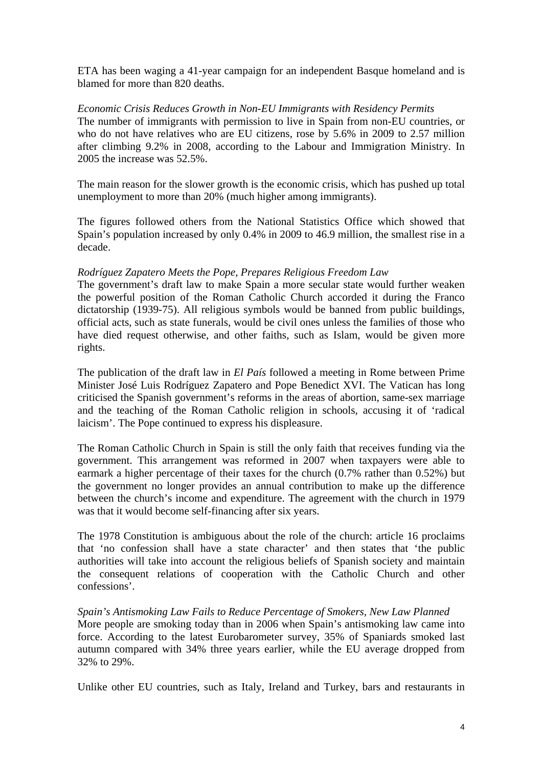ETA has been waging a 41-year campaign for an independent Basque homeland and is blamed for more than 820 deaths.

## *Economic Crisis Reduces Growth in Non-EU Immigrants with Residency Permits*

The number of immigrants with permission to live in Spain from non-EU countries, or who do not have relatives who are EU citizens, rose by 5.6% in 2009 to 2.57 million after climbing 9.2% in 2008, according to the Labour and Immigration Ministry. In 2005 the increase was 52.5%.

The main reason for the slower growth is the economic crisis, which has pushed up total unemployment to more than 20% (much higher among immigrants).

The figures followed others from the National Statistics Office which showed that Spain's population increased by only 0.4% in 2009 to 46.9 million, the smallest rise in a decade.

### *Rodríguez Zapatero Meets the Pope, Prepares Religious Freedom Law*

The government's draft law to make Spain a more secular state would further weaken the powerful position of the Roman Catholic Church accorded it during the Franco dictatorship (1939-75). All religious symbols would be banned from public buildings, official acts, such as state funerals, would be civil ones unless the families of those who have died request otherwise, and other faiths, such as Islam, would be given more rights.

The publication of the draft law in *El País* followed a meeting in Rome between Prime Minister José Luis Rodríguez Zapatero and Pope Benedict XVI. The Vatican has long criticised the Spanish government's reforms in the areas of abortion, same-sex marriage and the teaching of the Roman Catholic religion in schools, accusing it of 'radical laicism'. The Pope continued to express his displeasure.

The Roman Catholic Church in Spain is still the only faith that receives funding via the government. This arrangement was reformed in 2007 when taxpayers were able to earmark a higher percentage of their taxes for the church (0.7% rather than 0.52%) but the government no longer provides an annual contribution to make up the difference between the church's income and expenditure. The agreement with the church in 1979 was that it would become self-financing after six years.

The 1978 Constitution is ambiguous about the role of the church: article 16 proclaims that 'no confession shall have a state character' and then states that 'the public authorities will take into account the religious beliefs of Spanish society and maintain the consequent relations of cooperation with the Catholic Church and other confessions'.

### *Spain's Antismoking Law Fails to Reduce Percentage of Smokers, New Law Planned*

More people are smoking today than in 2006 when Spain's antismoking law came into force. According to the latest Eurobarometer survey, 35% of Spaniards smoked last autumn compared with 34% three years earlier, while the EU average dropped from 32% to 29%.

Unlike other EU countries, such as Italy, Ireland and Turkey, bars and restaurants in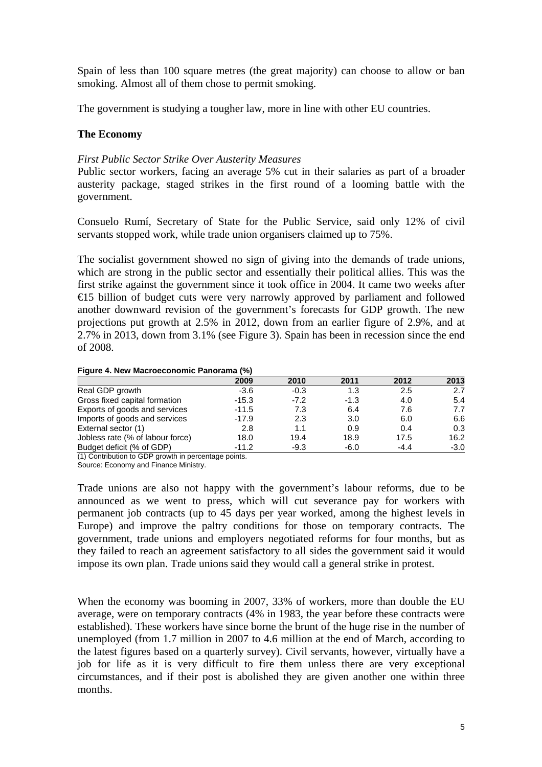Spain of less than 100 square metres (the great majority) can choose to allow or ban smoking. Almost all of them chose to permit smoking.

The government is studying a tougher law, more in line with other EU countries.

## **The Economy**

### *First Public Sector Strike Over Austerity Measures*

Public sector workers, facing an average 5% cut in their salaries as part of a broader austerity package, staged strikes in the first round of a looming battle with the government.

Consuelo Rumí, Secretary of State for the Public Service, said only 12% of civil servants stopped work, while trade union organisers claimed up to 75%.

The socialist government showed no sign of giving into the demands of trade unions, which are strong in the public sector and essentially their political allies. This was the first strike against the government since it took office in 2004. It came two weeks after €15 billion of budget cuts were very narrowly approved by parliament and followed another downward revision of the government's forecasts for GDP growth. The new projections put growth at 2.5% in 2012, down from an earlier figure of 2.9%, and at 2.7% in 2013, down from 3.1% (see Figure 3). Spain has been in recession since the end of 2008.

### **Figure 4. New Macroeconomic Panorama (%)**

|                                  | 2009    | 2010   | 2011   | 2012   | 2013   |
|----------------------------------|---------|--------|--------|--------|--------|
| Real GDP growth                  | $-3.6$  | $-0.3$ | 1.3    | 2.5    | 2.7    |
| Gross fixed capital formation    | $-15.3$ | $-7.2$ | $-1.3$ | 4.0    | 5.4    |
| Exports of goods and services    | $-11.5$ | 7.3    | 6.4    | 7.6    | 7.7    |
| Imports of goods and services    | $-17.9$ | 2.3    | 3.0    | 6.0    | 6.6    |
| External sector (1)              | 2.8     | 1.1    | 0.9    | 0.4    | 0.3    |
| Jobless rate (% of labour force) | 18.0    | 19.4   | 18.9   | 17.5   | 16.2   |
| Budget deficit (% of GDP)        | $-11.2$ | $-9.3$ | $-6.0$ | $-4.4$ | $-3.0$ |

(1) Contribution to GDP growth in percentage points.

Source: Economy and Finance Ministry.

Trade unions are also not happy with the government's labour reforms, due to be announced as we went to press, which will cut severance pay for workers with permanent job contracts (up to 45 days per year worked, among the highest levels in Europe) and improve the paltry conditions for those on temporary contracts. The government, trade unions and employers negotiated reforms for four months, but as they failed to reach an agreement satisfactory to all sides the government said it would impose its own plan. Trade unions said they would call a general strike in protest.

When the economy was booming in 2007, 33% of workers, more than double the EU average, were on temporary contracts (4% in 1983, the year before these contracts were established). These workers have since borne the brunt of the huge rise in the number of unemployed (from 1.7 million in 2007 to 4.6 million at the end of March, according to the latest figures based on a quarterly survey). Civil servants, however, virtually have a job for life as it is very difficult to fire them unless there are very exceptional circumstances, and if their post is abolished they are given another one within three months.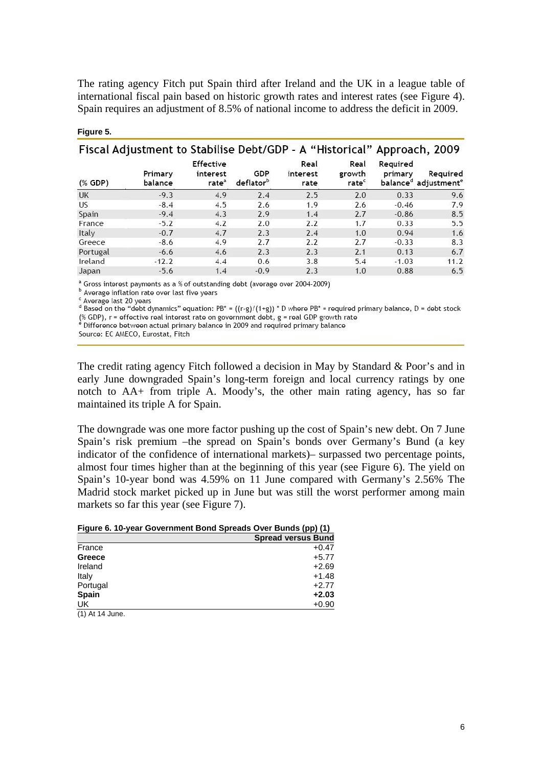The rating agency Fitch put Spain third after Ireland and the UK in a league table of international fiscal pain based on historic growth rates and interest rates (see Figure 4). Spain requires an adjustment of 8.5% of national income to address the deficit in 2009.

|           | Fiscal Adjustment to Stabilise Debt/GDP - A "Historical" Approach, 2009 |                                            |                              |                          |                                     |                     |                                                          |
|-----------|-------------------------------------------------------------------------|--------------------------------------------|------------------------------|--------------------------|-------------------------------------|---------------------|----------------------------------------------------------|
| $(%$ GDP) | Primary<br>balance                                                      | Effective<br>interest<br>rate <sup>a</sup> | GDP<br>deflator <sup>D</sup> | Real<br>interest<br>rate | Real<br>growth<br>rate <sup>c</sup> | Required<br>primary | Required<br>balance <sup>d</sup> adjustment <sup>e</sup> |
| <b>UK</b> | $-9.3$                                                                  | 4.9                                        | 2.4                          | 2.5                      | 2.0                                 | 0.33                | 9.6                                                      |
| US        | $-8.4$                                                                  | 4.5                                        | 2.6                          | 1.9                      | 2.6                                 | $-0.46$             | 7.9                                                      |
| Spain     | $-9.4$                                                                  | 4.3                                        | 2.9                          | 1.4                      | 2.7                                 | $-0.86$             | 8.5                                                      |
| France    | $-5.2$                                                                  | 4.2                                        | 2.0                          | 2.2                      | 1.7                                 | 0.33                | 5.5                                                      |
| Italy     | $-0.7$                                                                  | 4.7                                        | 2.3                          | 2.4                      | 1.0                                 | 0.94                | 1.6                                                      |
| Greece    | $-8.6$                                                                  | 4.9                                        | 2.7                          | 2.2                      | 2.7                                 | $-0.33$             | 8.3                                                      |
| Portugal  | $-6.6$                                                                  | 4.6                                        | 2.3                          | 2.3                      | 2.1                                 | 0.13                | 6.7                                                      |
| Ireland   | $-12.2$                                                                 | 4.4                                        | 0.6                          | 3.8                      | 5.4                                 | $-1.03$             | 11.2                                                     |
| Japan     | $-5.6$                                                                  | 1.4                                        | $-0.9$                       | 2.3                      | 1.0                                 | 0.88                | 6.5                                                      |

#### **Figure 5.**

<sup>a</sup> Gross interest payments as a % of outstanding debt (average over 2004-2009)

<sup>b</sup> Average inflation rate over last five years

<sup>c</sup> Average last 20 years

Based on the "debt dynamics" equation: PB\* =  $((r-g)/(1+g))$  \* D where PB\* = required primary balance, D = debt stock (% GDP), r = effective real interest rate on government debt, g = real GDP growth rate<br>\* Difference between actual primary balance in 2009 and required primary balance

Source: EC AMECO, Eurostat, Fitch

The credit rating agency Fitch followed a decision in May by Standard & Poor's and in early June downgraded Spain's long-term foreign and local currency ratings by one notch to AA+ from triple A. Moody's, the other main rating agency, has so far maintained its triple A for Spain.

The downgrade was one more factor pushing up the cost of Spain's new debt. On 7 June Spain's risk premium –the spread on Spain's bonds over Germany's Bund (a key indicator of the confidence of international markets)– surpassed two percentage points, almost four times higher than at the beginning of this year (see Figure 6). The yield on Spain's 10-year bond was 4.59% on 11 June compared with Germany's 2.56% The Madrid stock market picked up in June but was still the worst performer among main markets so far this year (see Figure 7).

| Figure 6. 10-year Government Bond Spreads Over Bunds (pp) (1) |  |
|---------------------------------------------------------------|--|
|---------------------------------------------------------------|--|

|                       | <b>Spread versus Bund</b> |
|-----------------------|---------------------------|
| France                | $+0.47$                   |
| Greece                | $+5.77$                   |
| Ireland               | $+2.69$                   |
| Italy                 | $+1.48$                   |
| Portugal              | $+2.77$                   |
| <b>Spain</b>          | $+2.03$                   |
| UK                    | $+0.90$                   |
| $(4)$ $A + 4$ $A$ $B$ |                           |

(1) At 14 June.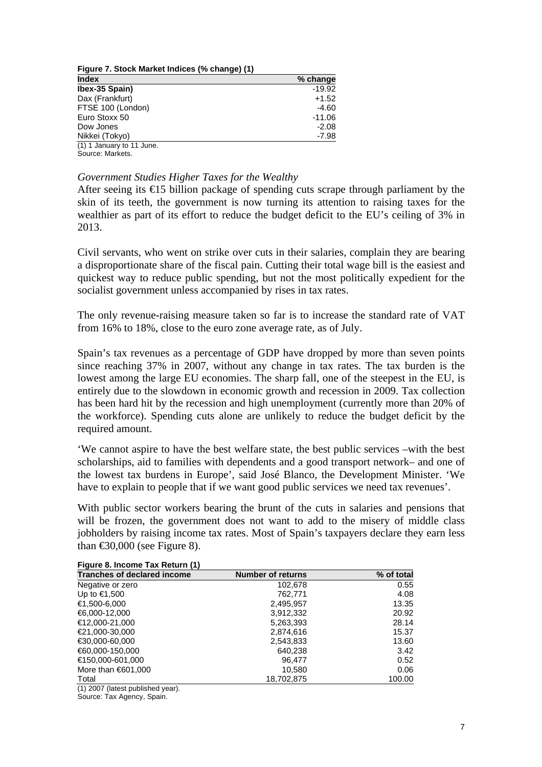| Figure 7. Stock Market Indices (% change) (1) |          |  |
|-----------------------------------------------|----------|--|
| <b>Index</b>                                  | % change |  |
| Ibex-35 Spain)                                | $-19.92$ |  |
| Dax (Frankfurt)                               | $+1.52$  |  |
| FTSE 100 (London)                             | $-4.60$  |  |
| Euro Stoxx 50                                 | $-11.06$ |  |
| Dow Jones                                     | $-2.08$  |  |
| Nikkei (Tokyo)                                | $-7.98$  |  |
| (1) 1 January to 11 June.                     |          |  |
| Source: Markets.                              |          |  |

### *Government Studies Higher Taxes for the Wealthy*

After seeing its  $\bigoplus$  5 billion package of spending cuts scrape through parliament by the skin of its teeth, the government is now turning its attention to raising taxes for the wealthier as part of its effort to reduce the budget deficit to the EU's ceiling of 3% in 2013.

Civil servants, who went on strike over cuts in their salaries, complain they are bearing a disproportionate share of the fiscal pain. Cutting their total wage bill is the easiest and quickest way to reduce public spending, but not the most politically expedient for the socialist government unless accompanied by rises in tax rates.

The only revenue-raising measure taken so far is to increase the standard rate of VAT from 16% to 18%, close to the euro zone average rate, as of July.

Spain's tax revenues as a percentage of GDP have dropped by more than seven points since reaching 37% in 2007, without any change in tax rates. The tax burden is the lowest among the large EU economies. The sharp fall, one of the steepest in the EU, is entirely due to the slowdown in economic growth and recession in 2009. Tax collection has been hard hit by the recession and high unemployment (currently more than 20% of the workforce). Spending cuts alone are unlikely to reduce the budget deficit by the required amount.

'We cannot aspire to have the best welfare state, the best public services –with the best scholarships, aid to families with dependents and a good transport network– and one of the lowest tax burdens in Europe', said José Blanco, the Development Minister. 'We have to explain to people that if we want good public services we need tax revenues'.

With public sector workers bearing the brunt of the cuts in salaries and pensions that will be frozen, the government does not want to add to the misery of middle class jobholders by raising income tax rates. Most of Spain's taxpayers declare they earn less than  $\text{\textsterling}0,000$  (see Figure 8).

| $\frac{1}{2}$<br><b>Tranches of declared income</b> | <b>Number of returns</b> | % of total |
|-----------------------------------------------------|--------------------------|------------|
| Negative or zero                                    | 102,678                  | 0.55       |
| Up to €1,500                                        | 762,771                  | 4.08       |
| €1,500-6,000                                        | 2,495,957                | 13.35      |
| €6,000-12,000                                       | 3,912,332                | 20.92      |
| €12,000-21,000                                      | 5,263,393                | 28.14      |
| €21,000-30,000                                      | 2,874,616                | 15.37      |
| $€30,000 - 60,000$                                  | 2,543,833                | 13.60      |
| €60,000-150,000                                     | 640,238                  | 3.42       |
| €150,000-601,000                                    | 96.477                   | 0.52       |
| More than $€601,000$                                | 10,580                   | 0.06       |
| Total                                               | 18,702,875               | 100.00     |

### **Figure 8. Income Tax Return (1)**

(1) 2007 (latest published year).

Source: Tax Agency, Spain.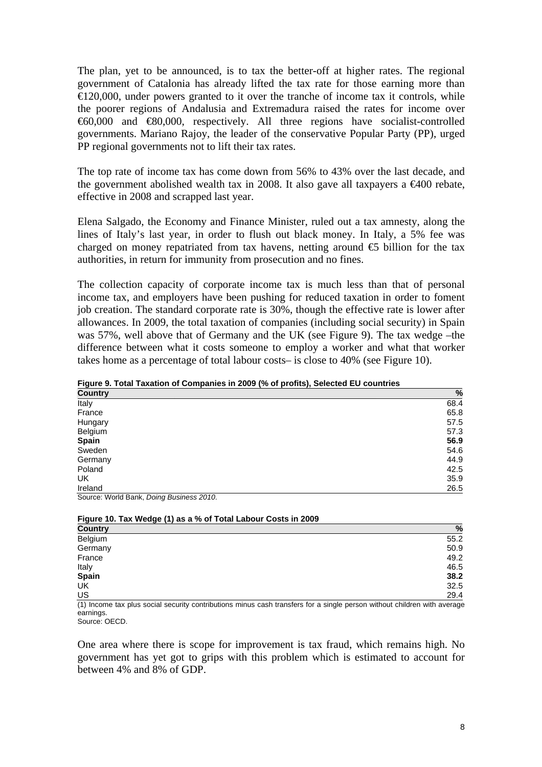The plan, yet to be announced, is to tax the better-off at higher rates. The regional government of Catalonia has already lifted the tax rate for those earning more than  $\trianglelefteq$  20,000, under powers granted to it over the tranche of income tax it controls, while the poorer regions of Andalusia and Extremadura raised the rates for income over €60,000 and €80,000, respectively. All three regions have socialist-controlled governments. Mariano Rajoy, the leader of the conservative Popular Party (PP), urged PP regional governments not to lift their tax rates.

The top rate of income tax has come down from 56% to 43% over the last decade, and the government abolished wealth tax in 2008. It also gave all taxpayers a  $\epsilon 400$  rebate, effective in 2008 and scrapped last year.

Elena Salgado, the Economy and Finance Minister, ruled out a tax amnesty, along the lines of Italy's last year, in order to flush out black money. In Italy, a 5% fee was charged on money repatriated from tax havens, netting around  $\epsilon$  billion for the tax authorities, in return for immunity from prosecution and no fines.

The collection capacity of corporate income tax is much less than that of personal income tax, and employers have been pushing for reduced taxation in order to foment job creation. The standard corporate rate is 30%, though the effective rate is lower after allowances. In 2009, the total taxation of companies (including social security) in Spain was 57%, well above that of Germany and the UK (see Figure 9). The tax wedge –the difference between what it costs someone to employ a worker and what that worker takes home as a percentage of total labour costs– is close to 40% (see Figure 10).

| $\frac{1}{2}$ . The contraction of companies in 2000 (10 or promoty coloured 20 countries<br><b>Country</b> | %    |
|-------------------------------------------------------------------------------------------------------------|------|
| Italy                                                                                                       | 68.4 |
| France                                                                                                      | 65.8 |
| Hungary                                                                                                     | 57.5 |
| Belgium                                                                                                     | 57.3 |
| Spain                                                                                                       | 56.9 |
| Sweden                                                                                                      | 54.6 |
| Germany                                                                                                     | 44.9 |
| Poland                                                                                                      | 42.5 |
| UK                                                                                                          | 35.9 |
| Ireland                                                                                                     | 26.5 |

**Figure 9. Total Taxation of Companies in 2009 (% of profits), Selected EU countries**

Source: World Bank, *Doing Business 2010*.

| Figure 10. Tax Wedge (1) as a % of Total Labour Costs in 2009 |               |  |
|---------------------------------------------------------------|---------------|--|
| <b>Country</b>                                                | $\frac{0}{0}$ |  |
| Belgium                                                       | 55.2          |  |
| Germany                                                       | 50.9          |  |
| France                                                        | 49.2          |  |
| Italy                                                         | 46.5          |  |
| Spain                                                         | 38.2          |  |
| UK                                                            | 32.5          |  |
| US                                                            | 29.4          |  |

(1) Income tax plus social security contributions minus cash transfers for a single person without children with average earnings. Source: OECD.

One area where there is scope for improvement is tax fraud, which remains high. No government has yet got to grips with this problem which is estimated to account for between 4% and 8% of GDP.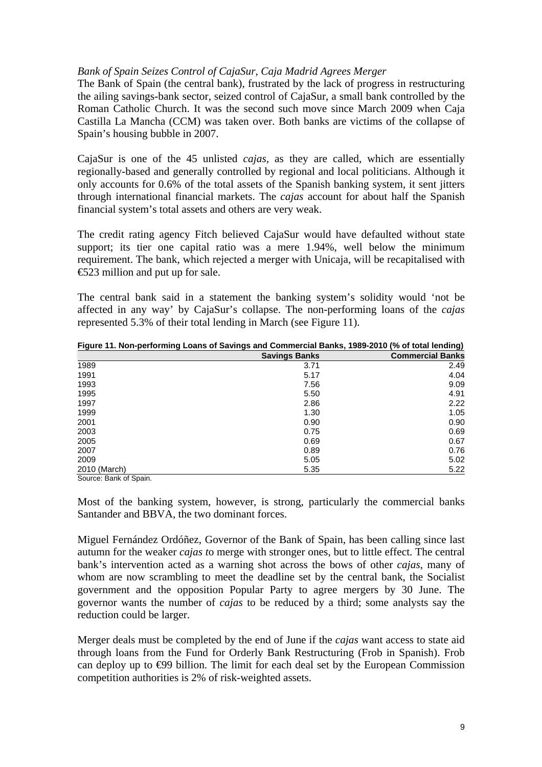### *Bank of Spain Seizes Control of CajaSur, Caja Madrid Agrees Merger*

The Bank of Spain (the central bank), frustrated by the lack of progress in restructuring the ailing savings-bank sector, seized control of CajaSur, a small bank controlled by the Roman Catholic Church. It was the second such move since March 2009 when Caja Castilla La Mancha (CCM) was taken over. Both banks are victims of the collapse of Spain's housing bubble in 2007.

CajaSur is one of the 45 unlisted *cajas,* as they are called, which are essentially regionally-based and generally controlled by regional and local politicians. Although it only accounts for 0.6% of the total assets of the Spanish banking system, it sent jitters through international financial markets. The *cajas* account for about half the Spanish financial system's total assets and others are very weak.

The credit rating agency Fitch believed CajaSur would have defaulted without state support; its tier one capital ratio was a mere 1.94%, well below the minimum requirement. The bank, which rejected a merger with Unicaja, will be recapitalised with €523 million and put up for sale.

The central bank said in a statement the banking system's solidity would 'not be affected in any way' by CajaSur's collapse. The non-performing loans of the *cajas* represented 5.3% of their total lending in March (see Figure 11).

| Tigare The Non-performing Evans of Gavings and Commercial Danks, 1909-2010 (70 Or total lenging) |                      |                         |  |
|--------------------------------------------------------------------------------------------------|----------------------|-------------------------|--|
|                                                                                                  | <b>Savings Banks</b> | <b>Commercial Banks</b> |  |
| 1989                                                                                             | 3.71                 | 2.49                    |  |
| 1991                                                                                             | 5.17                 | 4.04                    |  |
| 1993                                                                                             | 7.56                 | 9.09                    |  |
| 1995                                                                                             | 5.50                 | 4.91                    |  |
| 1997                                                                                             | 2.86                 | 2.22                    |  |
| 1999                                                                                             | 1.30                 | 1.05                    |  |
| 2001                                                                                             | 0.90                 | 0.90                    |  |
| 2003                                                                                             | 0.75                 | 0.69                    |  |
| 2005                                                                                             | 0.69                 | 0.67                    |  |
| 2007                                                                                             | 0.89                 | 0.76                    |  |
| 2009                                                                                             | 5.05                 | 5.02                    |  |
| 2010 (March)                                                                                     | 5.35                 | 5.22                    |  |

**Figure 11. Non-performing Loans of Savings and Commercial Banks, 1989-2010 (% of total lending)** 

Source: Bank of Spain.

Most of the banking system, however, is strong, particularly the commercial banks Santander and BBVA, the two dominant forces.

Miguel Fernández Ordóñez, Governor of the Bank of Spain, has been calling since last autumn for the weaker *cajas t*o merge with stronger ones, but to little effect. The central bank's intervention acted as a warning shot across the bows of other *cajas*, many of whom are now scrambling to meet the deadline set by the central bank, the Socialist government and the opposition Popular Party to agree mergers by 30 June. The governor wants the number of *cajas* to be reduced by a third; some analysts say the reduction could be larger.

Merger deals must be completed by the end of June if the *cajas* want access to state aid through loans from the Fund for Orderly Bank Restructuring (Frob in Spanish). Frob can deploy up to €99 billion. The limit for each deal set by the European Commission competition authorities is 2% of risk-weighted assets.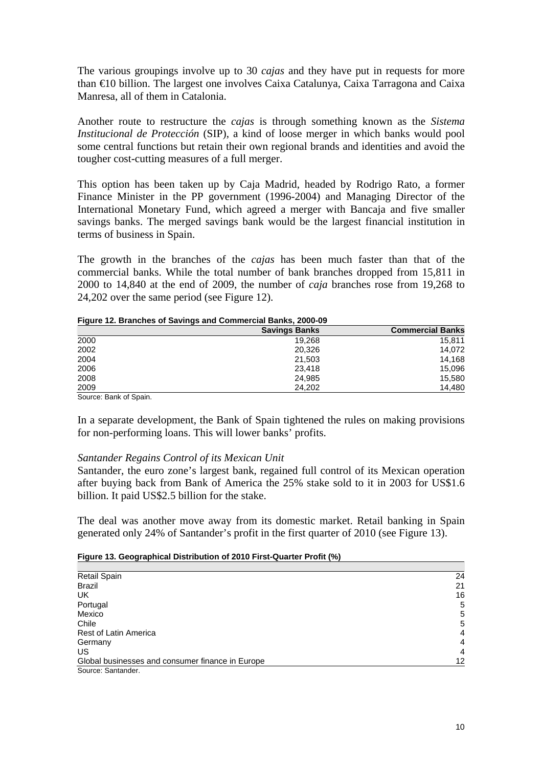The various groupings involve up to 30 *cajas* and they have put in requests for more than €10 billion. The largest one involves Caixa Catalunya, Caixa Tarragona and Caixa Manresa, all of them in Catalonia.

Another route to restructure the *cajas* is through something known as the *Sistema Institucional de Protección* (SIP), a kind of loose merger in which banks would pool some central functions but retain their own regional brands and identities and avoid the tougher cost-cutting measures of a full merger.

This option has been taken up by Caja Madrid, headed by Rodrigo Rato, a former Finance Minister in the PP government (1996-2004) and Managing Director of the International Monetary Fund, which agreed a merger with Bancaja and five smaller savings banks. The merged savings bank would be the largest financial institution in terms of business in Spain.

The growth in the branches of the *cajas* has been much faster than that of the commercial banks. While the total number of bank branches dropped from 15,811 in 2000 to 14,840 at the end of 2009, the number of *caja* branches rose from 19,268 to 24,202 over the same period (see Figure 12).

| Figure 12. Branches of Savings and Commercial Banks, 2000-09 |
|--------------------------------------------------------------|
|--------------------------------------------------------------|

|                        | <b>Savings Banks</b> | <b>Commercial Banks</b> |
|------------------------|----------------------|-------------------------|
| 2000                   | 19.268               | 15,811                  |
| 2002                   | 20,326               | 14,072                  |
| 2004                   | 21,503               | 14.168                  |
| 2006                   | 23.418               | 15,096                  |
| 2008                   | 24,985               | 15.580                  |
| 2009                   | 24.202               | 14,480                  |
| Source: Bank of Spain. |                      |                         |

In a separate development, the Bank of Spain tightened the rules on making provisions for non-performing loans. This will lower banks' profits.

### *Santander Regains Control of its Mexican Unit*

Santander, the euro zone's largest bank, regained full control of its Mexican operation after buying back from Bank of America the 25% stake sold to it in 2003 for US\$1.6 billion. It paid US\$2.5 billion for the stake.

The deal was another move away from its domestic market. Retail banking in Spain generated only 24% of Santander's profit in the first quarter of 2010 (see Figure 13).

### **Figure 13. Geographical Distribution of 2010 First-Quarter Profit (%)**

| <b>Retail Spain</b>                              | 24 |
|--------------------------------------------------|----|
| <b>Brazil</b>                                    | 21 |
| UK                                               | 16 |
| Portugal                                         | 5  |
| Mexico                                           | 5  |
| Chile                                            | 5  |
| <b>Rest of Latin America</b>                     | 4  |
| Germany                                          | 4  |
| US                                               | 4  |
| Global businesses and consumer finance in Europe | 12 |
| Source: Santander.                               |    |